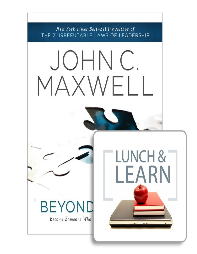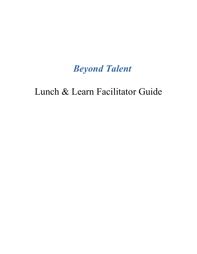# *Beyond Talent*

## Lunch & Learn Facilitator Guide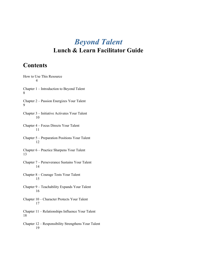## *Beyond Talent* **Lunch & Learn Facilitator Guide**

### **Contents**

How to Use This Resource 4 Chapter 1 – Introduction to Beyond Talent 8 Chapter 2 – Passion Energizes Your Talent 9 Chapter 3 – Initiative Activates Your Talent 10 Chapter 4 – Focus Directs Your Talent 11 Chapter 5 – Preparation Positions Your Talent 12 Chapter 6 – Practice Sharpens Your Talent 13 Chapter 7 – Perseverance Sustains Your Talent 14 Chapter 8 – Courage Tests Your Talent 15 Chapter 9 – Teachability Expands Your Talent 16 Chapter 10 – Character Protects Your Talent 17 Chapter 11 – Relationships Influence Your Talent 18 Chapter 12 – Responsibility Strengthens Your Talent 19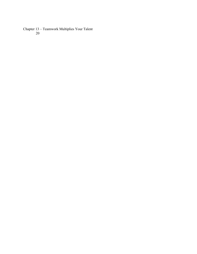Chapter 13 – Teamwork Multiplies Your Talent 20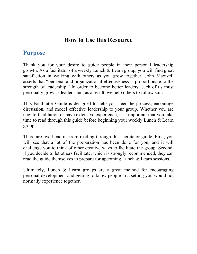### **How to Use this Resource**

### **Purpose**

Thank you for your desire to guide people in their personal leadership growth. As a facilitator of a weekly Lunch & Learn group, you will find great satisfaction in walking with others as you grow together. John Maxwell asserts that "personal and organizational effectiveness is proportionate to the strength of leadership." In order to become better leaders, each of us must personally grow as leaders and, as a result, we help others to follow suit.

This Facilitator Guide is designed to help you steer the process, encourage discussion, and model effective leadership to your group. Whether you are new to facilitation or have extensive experience, it is important that you take time to read through this guide before beginning your weekly Lunch & Learn group.

There are two benefits from reading through this facilitator guide. First, you will see that a lot of the preparation has been done for you, and it will challenge you to think of other creative ways to facilitate the group. Second, if you decide to let others facilitate, which is strongly recommended, they can read the guide themselves to prepare for upcoming Lunch & Learn sessions.

Ultimately, Lunch & Learn groups are a great method for encouraging personal development and getting to know people in a setting you would not normally experience together.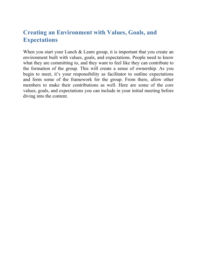### **Creating an Environment with Values, Goals, and Expectations**

When you start your Lunch & Learn group, it is important that you create an environment built with values, goals, and expectations. People need to know what they are committing to, and they want to feel like they can contribute to the formation of the group. This will create a sense of ownership. As you begin to meet, it's your responsibility as facilitator to outline expectations and form some of the framework for the group. From there, allow other members to make their contributions as well. Here are some of the core values, goals, and expectations you can include in your initial meeting before diving into the content.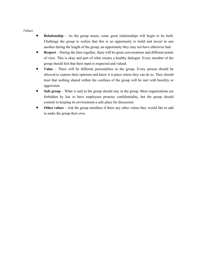*Values*

- **Relationship** As the group meets, some great relationships will begin to be built. Challenge the group to realize that this is an opportunity to build and invest in one another during the length of the group, an opportunity they may not have otherwise had.
- **Respect** During the time together, there will be great conversations and different points of view. This is okay and part of what creates a healthy dialogue. Every member of the group should feel that their input is respected and valued.
- **Value** There will be different personalities in the group. Every person should be allowed to express their opinions and know it is place where they can do so. They should trust that nothing shared within the confines of the group will be met with hostility or aggression.
- **Safe group** What is said in the group should stay in the group. Most organizations are forbidden by law to have employees promise confidentiality, but the group should commit to keeping its environment a safe place for discussion.
- **Other values** Ask the group members if there any other values they would like to add to make the group their own.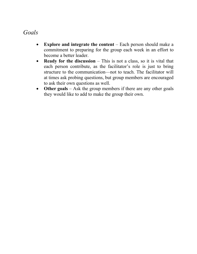### *Goals*

- **Explore and integrate the content** Each person should make a  $\bullet$ commitment to preparing for the group each week in an effort to become a better leader.
- **Ready for the discussion** This is not a class, so it is vital that  $\bullet$ each person contribute, as the facilitator's role is just to bring structure to the communication—not to teach. The facilitator will at times ask probing questions, but group members are encouraged to ask their own questions as well.
- **Other goals** Ask the group members if there are any other goals  $\bullet$ they would like to add to make the group their own.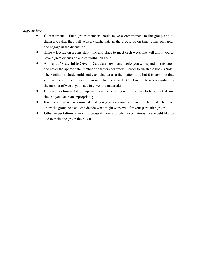#### *Expectations*

- **Commitment** Each group member should make a commitment to the group and to themselves that they will actively participate in the group, be on time, come prepared, and engage in the discussion.
- **Time** Decide on a consistent time and place to meet each week that will allow you to have a great discussion and eat within an hour.
- **Amount of Material to Cover** Calculate how many weeks you will spend on this book and cover the appropriate number of chapters per week in order to finish the book. (Note: The Facilitator Guide builds out each chapter as a facilitation unit, but it is common that you will need to cover more than one chapter a week. Combine materials according to the number of weeks you have to cover the material.)
- **Communication** Ask group members to e-mail you if they plan to be absent at any time so you can plan appropriately.
- **Facilitation** We recommend that you give everyone a chance to facilitate, but you know the group best and can decide what might work well for your particular group.
- **Other expectations** Ask the group if there any other expectations they would like to add to make the group their own.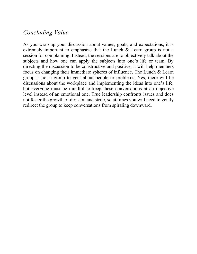### *Concluding Value*

As you wrap up your discussion about values, goals, and expectations, it is extremely important to emphasize that the Lunch & Learn group is not a session for complaining. Instead, the sessions are to objectively talk about the subjects and how one can apply the subjects into one's life or team. By directing the discussion to be constructive and positive, it will help members focus on changing their immediate spheres of influence. The Lunch & Learn group is not a group to vent about people or problems. Yes, there will be discussions about the workplace and implementing the ideas into one's life, but everyone must be mindful to keep these conversations at an objective level instead of an emotional one. True leadership confronts issues and does not foster the growth of division and strife, so at times you will need to gently redirect the group to keep conversations from spiraling downward.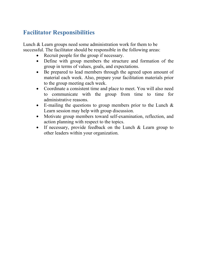### **Facilitator Responsibilities**

Lunch & Learn groups need some administration work for them to be successful. The facilitator should be responsible in the following areas:

- Recruit people for the group if necessary.  $\bullet$
- Define with group members the structure and formation of the  $\bullet$ group in terms of values, goals, and expectations.
- Be prepared to lead members through the agreed upon amount of  $\bullet$ material each week. Also, prepare your facilitation materials prior to the group meeting each week.
- Coordinate a consistent time and place to meet. You will also need  $\bullet$ to communicate with the group from time to time for administrative reasons.
- E-mailing the questions to group members prior to the Lunch  $\&$ Learn session may help with group discussion.
- Motivate group members toward self-examination, reflection, and  $\bullet$ action planning with respect to the topics.
- If necessary, provide feedback on the Lunch & Learn group to  $\bullet$ other leaders within your organization.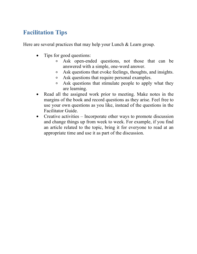### **Facilitation Tips**

Here are several practices that may help your Lunch & Learn group.

- Tips for good questions:
	- Ask open-ended questions, not those that can be  $\circ$ answered with a simple, one-word answer.
	- Ask questions that evoke feelings, thoughts, and insights.  $\circ$
	- Ask questions that require personal examples.  $\circ$
	- Ask questions that stimulate people to apply what they  $\circ$ are learning.
- Read all the assigned work prior to meeting. Make notes in the margins of the book and record questions as they arise. Feel free to use your own questions as you like, instead of the questions in the Facilitator Guide.
- Creative activities Incorporate other ways to promote discussion  $\bullet$ and change things up from week to week. For example, if you find an article related to the topic, bring it for everyone to read at an appropriate time and use it as part of the discussion.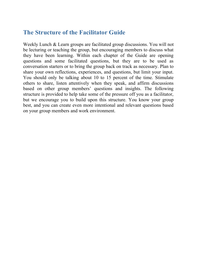### **The Structure of the Facilitator Guide**

Weekly Lunch & Learn groups are facilitated group discussions. You will not be lecturing or teaching the group, but encouraging members to discuss what they have been learning. Within each chapter of the Guide are opening questions and some facilitated questions, but they are to be used as conversation starters or to bring the group back on track as necessary. Plan to share your own reflections, experiences, and questions, but limit your input. You should only be talking about 10 to 15 percent of the time. Stimulate others to share, listen attentively when they speak, and affirm discussions based on other group members' questions and insights. The following structure is provided to help take some of the pressure off you as a facilitator, but we encourage you to build upon this structure. You know your group best, and you can create even more intentional and relevant questions based on your group members and work environment.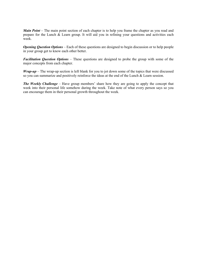*Main Point* – The main point section of each chapter is to help you frame the chapter as you read and prepare for the Lunch & Learn group. It will aid you in refining your questions and activities each week.

*Opening Question Options* – Each of these questions are designed to begin discussion or to help people in your group get to know each other better.

*Facilitation Question Options* – These questions are designed to probe the group with some of the major concepts from each chapter.

*Wrap-up* – The wrap-up section is left blank for you to jot down some of the topics that were discussed so you can summarize and positively reinforce the ideas at the end of the Lunch & Learn session.

*The Weekly Challenge* – Have group members' share how they are going to apply the concept that week into their personal life somehow during the week. Take note of what every person says so you can encourage them in their personal growth throughout the week.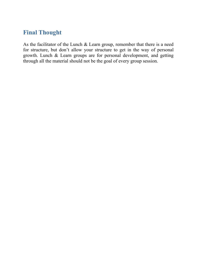### **Final Thought**

As the facilitator of the Lunch & Learn group, remember that there is a need for structure, but don't allow your structure to get in the way of personal growth. Lunch & Learn groups are for personal development, and getting through all the material should not be the goal of every group session.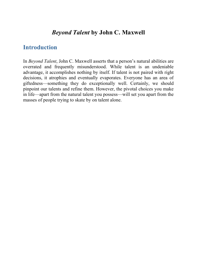### *Beyond Talent* **by John C. Maxwell**

### **Introduction**

In *Beyond Talent*, John C. Maxwell asserts that a person's natural abilities are overrated and frequently misunderstood. While talent is an undeniable advantage, it accomplishes nothing by itself. If talent is not paired with right decisions, it atrophies and eventually evaporates. Everyone has an area of giftedness—something they do exceptionally well. Certainly, we should pinpoint our talents and refine them. However, the pivotal choices you make in life—apart from the natural talent you possess—will set you apart from the masses of people trying to skate by on talent alone.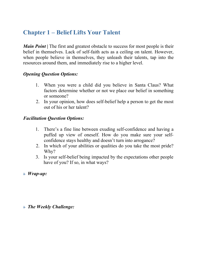### **Chapter 1 – Belief Lifts Your Talent**

*Main Point* | The first and greatest obstacle to success for most people is their belief in themselves. Lack of self-faith acts as a ceiling on talent. However, when people believe in themselves, they unleash their talents, tap into the resources around them, and immediately rise to a higher level.

### *Opening Question Options:*

- 1. When you were a child did you believe in Santa Claus? What factors determine whether or not we place our belief in something or someone?
- 2. In your opinion, how does self-belief help a person to get the most out of his or her talent?

#### *Facilitation Question Options:*

- 1. There's a fine line between exuding self-confidence and having a puffed up view of oneself. How do you make sure your selfconfidence stays healthy and doesn't turn into arrogance?
- 2. In which of your abilities or qualities do you take the most pride? Why?
- 3. Is your self-belief being impacted by the expectations other people have of you? If so, in what ways?
- $\triangle$  *Wrap-up:*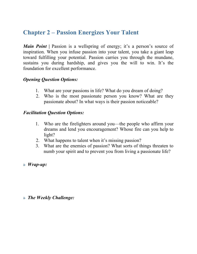### **Chapter 2 – Passion Energizes Your Talent**

*Main Point* | Passion is a wellspring of energy; it's a person's source of inspiration. When you infuse passion into your talent, you take a giant leap toward fulfilling your potential. Passion carries you through the mundane, sustains you during hardship, and gives you the will to win. It's the foundation for excellent performance.

### *Opening Question Options:*

- 1. What are your passions in life? What do you dream of doing?
- 2. Who is the most passionate person you know? What are they passionate about? In what ways is their passion noticeable?

#### *Facilitation Question Options:*

- 1. Who are the firelighters around you—the people who affirm your dreams and lend you encouragement? Whose fire can you help to light?
- 2. What happens to talent when it's missing passion?
- 3. What are the enemies of passion? What sorts of things threaten to numb your spirit and to prevent you from living a passionate life?
- $\triangle$  *Wrap-up:*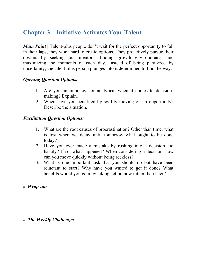### **Chapter 3 – Initiative Activates Your Talent**

*Main Point* **|** Talent-plus people don't wait for the perfect opportunity to fall in their laps; they work hard to create options. They proactively pursue their dreams by seeking out mentors, finding growth environments, and maximizing the moments of each day. Instead of being paralyzed by uncertainty, the talent-plus person plunges into it determined to find the way.

### *Opening Question Options:*

- 1. Are you an impulsive or analytical when it comes to decisionmaking? Explain.
- 2. When have you benefited by swiftly moving on an opportunity? Describe the situation.

#### *Facilitation Question Options:*

- 1. What are the root causes of procrastination? Other than time, what is lost when we delay until tomorrow what ought to be done today?
- 2. Have you ever made a mistake by rushing into a decision too hastily? If so, what happened? When considering a decision, how can you move quickly without being reckless?
- 3. What is one important task that you should do but have been reluctant to start? Why have you waited to get it done? What benefits would you gain by taking action now rather than later?

#### $\triangle$  *Wrap-up:*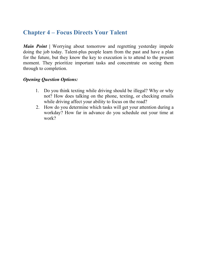### **Chapter 4 – Focus Directs Your Talent**

*Main Point* **|** Worrying about tomorrow and regretting yesterday impede doing the job today. Talent-plus people learn from the past and have a plan for the future, but they know the key to execution is to attend to the present moment. They prioritize important tasks and concentrate on seeing them through to completion.

### *Opening Question Options:*

- 1. Do you think texting while driving should be illegal? Why or why not? How does talking on the phone, texting, or checking emails while driving affect your ability to focus on the road?
- 2. How do you determine which tasks will get your attention during a workday? How far in advance do you schedule out your time at work?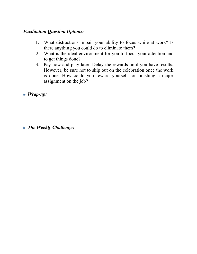### *Facilitation Question Options:*

- 1. What distractions impair your ability to focus while at work? Is there anything you could do to eliminate them?
- 2. What is the ideal environment for you to focus your attention and to get things done?
- 3. Pay now and play later. Delay the rewards until you have results. However, be sure not to skip out on the celebration once the work is done. How could you reward yourself for finishing a major assignment on the job?

 $\triangle$  *Wrap-up:* 

#### $\delta$  *The Weekly Challenge:*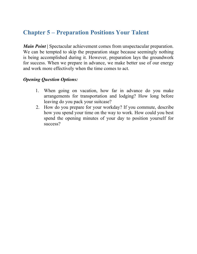### **Chapter 5 – Preparation Positions Your Talent**

*Main Point* **|** Spectacular achievement comes from unspectacular preparation. We can be tempted to skip the preparation stage because seemingly nothing is being accomplished during it. However, preparation lays the groundwork for success. When we prepare in advance, we make better use of our energy and work more effectively when the time comes to act.

#### *Opening Question Options:*

- 1. When going on vacation, how far in advance do you make arrangements for transportation and lodging? How long before leaving do you pack your suitcase?
- 2. How do you prepare for your workday? If you commute, describe how you spend your time on the way to work. How could you best spend the opening minutes of your day to position yourself for success?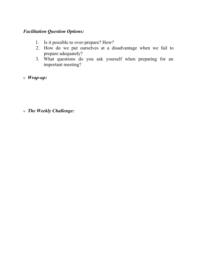### *Facilitation Question Options:*

- 1. Is it possible to over-prepare? How?
- 2. How do we put ourselves at a disadvantage when we fail to prepare adequately?
- 3. What questions do you ask yourself when preparing for an important meeting?
- $\triangle$  *Wrap-up*:

#### $\delta$  *The Weekly Challenge:*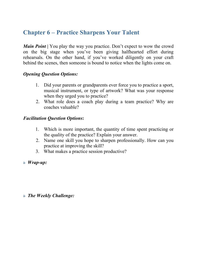### **Chapter 6 – Practice Sharpens Your Talent**

*Main Point* **|** You play the way you practice. Don't expect to wow the crowd on the big stage when you've been giving halfhearted effort during rehearsals. On the other hand, if you've worked diligently on your craft behind the scenes, then someone is bound to notice when the lights come on.

#### *Opening Question Options:*

- 1. Did your parents or grandparents ever force you to practice a sport, musical instrument, or type of artwork? What was your response when they urged you to practice?
- 2. What role does a coach play during a team practice? Why are coaches valuable?

#### *Facilitation Question Options***:**

- 1. Which is more important, the quantity of time spent practicing or the quality of the practice? Explain your answer.
- 2. Name one skill you hope to sharpen professionally. How can you practice at improving the skill?
- 3. What makes a practice session productive?
- $\triangle$  *Wrap-up:*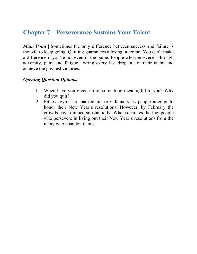### **Chapter 7 – Perseverance Sustains Your Talent**

*Main Point* | Sometimes the only difference between success and failure is the will to keep going. Quitting guarantees a losing outcome. You can't make a difference if you're not even in the game. People who persevere—through adversity, pain, and fatigue—wring every last drop out of their talent and achieve the greatest victories.

### *Opening Question Options:*

- 1. When have you given up on something meaningful to you? Why did you quit?
- 2. Fitness gyms are packed in early January as people attempt to honor their New Year's resolutions. However, by February the crowds have thinned substantially. What separates the few people who persevere in living out their New Year's resolutions from the many who abandon them?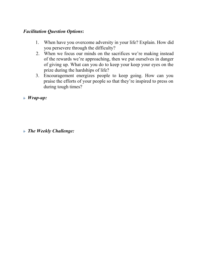### *Facilitation Question Options***:**

- 1. When have you overcome adversity in your life? Explain. How did you persevere through the difficulty?
- 2. When we focus our minds on the sacrifices we're making instead of the rewards we're approaching, then we put ourselves in danger of giving up. What can you do to keep your keep your eyes on the prize during the hardships of life?
- 3. Encouragement energizes people to keep going. How can you praise the efforts of your people so that they're inspired to press on during tough times?
- $\triangle$  *Wrap-up:*

 $\delta$  *The Weekly Challenge:*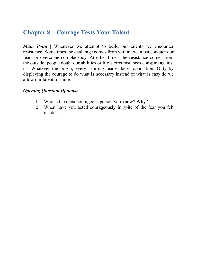### **Chapter 8 – Courage Tests Your Talent**

*Main Point* **|** Whenever we attempt to build our talents we encounter resistance. Sometimes the challenge comes from within; we must conquer our fears or overcome complacency. At other times, the resistance comes from the outside: people doubt our abilities or life's circumstances conspire against us. Whatever the origin, every aspiring leader faces opposition. Only by displaying the courage to do what is necessary instead of what is easy do we allow our talent to shine.

#### *Opening Question Options:*

- 1. Who is the most courageous person you know? Why?
- 2. When have you acted courageously in spite of the fear you felt inside?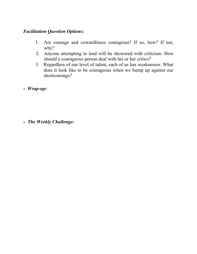### *Facilitation Question Options***:**

- 1. Are courage and cowardliness contagious? If so, how? If not, why?
- 2. Anyone attempting to lead will be showered with criticism. How should a courageous person deal with his or her critics?
- 3. Regardless of our level of talent, each of us has weaknesses. What does it look like to be courageous when we bump up against our shortcomings?
- $\triangle$  *Wrap-up*:

 $\triangle$  *The Weekly Challenge:*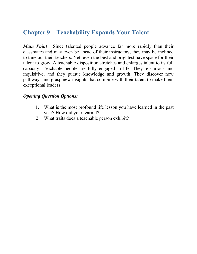### **Chapter 9 – Teachability Expands Your Talent**

*Main Point* **|** Since talented people advance far more rapidly than their classmates and may even be ahead of their instructors, they may be inclined to tune out their teachers. Yet, even the best and brightest have space for their talent to grow. A teachable disposition stretches and enlarges talent to its full capacity. Teachable people are fully engaged in life. They're curious and inquisitive, and they pursue knowledge and growth. They discover new pathways and grasp new insights that combine with their talent to make them exceptional leaders.

### *Opening Question Options:*

- 1. What is the most profound life lesson you have learned in the past year? How did your learn it?
- 2. What traits does a teachable person exhibit?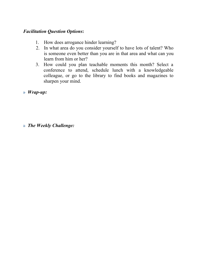### *Facilitation Question Options***:**

- 1. How does arrogance hinder learning?
- 2. In what area do you consider yourself to have lots of talent? Who is someone even better than you are in that area and what can you learn from him or her?
- 3. How could you plan teachable moments this month? Select a conference to attend, schedule lunch with a knowledgeable colleague, or go to the library to find books and magazines to sharpen your mind.

 $\triangle$  *Wrap-up*: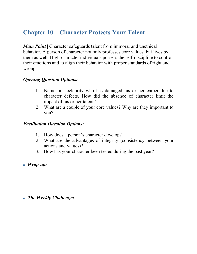### **Chapter 10 – Character Protects Your Talent**

*Main Point* **|** Character safeguards talent from immoral and unethical behavior. A person of character not only professes core values, but lives by them as well. High-character individuals possess the self-discipline to control their emotions and to align their behavior with proper standards of right and wrong.

### *Opening Question Options:*

- 1. Name one celebrity who has damaged his or her career due to character defects. How did the absence of character limit the impact of his or her talent?
- 2. What are a couple of your core values? Why are they important to you?

#### *Facilitation Question Options***:**

- 1. How does a person's character develop?
- 2. What are the advantages of integrity (consistency between your actions and values)?
- 3. How has your character been tested during the past year?
- $\triangle$  *Wrap-up:*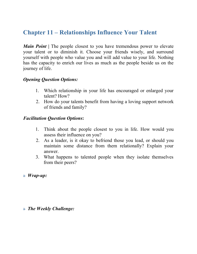### **Chapter 11 – Relationships Influence Your Talent**

*Main Point* | The people closest to you have tremendous power to elevate your talent or to diminish it. Choose your friends wisely, and surround yourself with people who value you and will add value to your life. Nothing has the capacity to enrich our lives as much as the people beside us on the journey of life.

#### *Opening Question Options:*

- 1. Which relationship in your life has encouraged or enlarged your talent? How?
- 2. How do your talents benefit from having a loving support network of friends and family?

#### *Facilitation Question Options***:**

- 1. Think about the people closest to you in life. How would you assess their influence on you?
- 2. As a leader, is it okay to befriend those you lead, or should you maintain some distance from them relationally? Explain your answer.
- 3. What happens to talented people when they isolate themselves from their peers?
- $\triangle$  *Wrap-up:*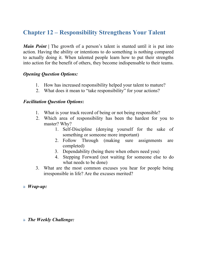### **Chapter 12 – Responsibility Strengthens Your Talent**

*Main Point* | The growth of a person's talent is stunted until it is put into action. Having the ability or intentions to do something is nothing compared to actually doing it. When talented people learn how to put their strengths into action for the benefit of others, they become indispensable to their teams.

#### *Opening Question Options:*

- 1. How has increased responsibility helped your talent to mature?
- 2. What does it mean to "take responsibility" for your actions?

#### *Facilitation Question Options***:**

- 1. What is your track record of being or not being responsible?
- 2. Which area of responsibility has been the hardest for you to master? Why?
	- 1. Self-Discipline (denying yourself for the sake of something or someone more important)
	- 2. Follow Through (making sure assignments are completed)
	- 3. Dependability (being there when others need you)
	- 4. Stepping Forward (not waiting for someone else to do what needs to be done)
- 3. What are the most common excuses you hear for people being irresponsible in life? Are the excuses merited?

#### $\triangle$  *Wrap-up:*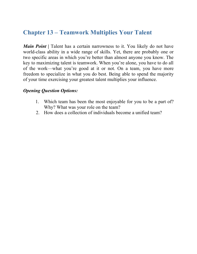### **Chapter 13 – Teamwork Multiplies Your Talent**

*Main Point* **|** Talent has a certain narrowness to it. You likely do not have world-class ability in a wide range of skills. Yet, there are probably one or two specific areas in which you're better than almost anyone you know. The key to maximizing talent is teamwork. When you're alone, you have to do all of the work—what you're good at it or not. On a team, you have more freedom to specialize in what you do best. Being able to spend the majority of your time exercising your greatest talent multiplies your influence.

#### *Opening Question Options:*

- 1. Which team has been the most enjoyable for you to be a part of? Why? What was your role on the team?
- 2. How does a collection of individuals become a unified team?